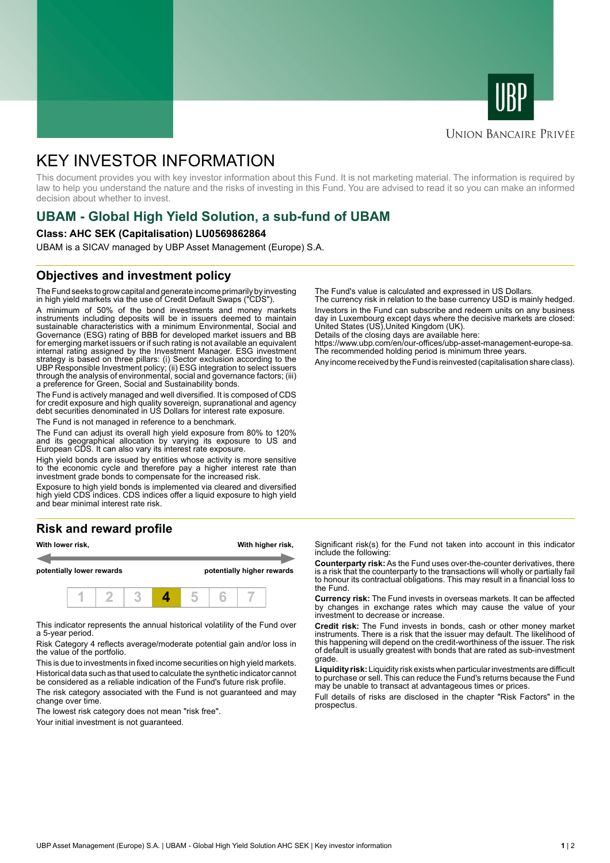



# **UNION BANCAIRE PRIVÉE**

# KEY INVESTOR INFORMATION

This document provides you with key investor information about this Fund. It is not marketing material. The information is required by law to help you understand the nature and the risks of investing in this Fund. You are advised to read it so you can make an informed decision about whether to invest.

# **UBAM - Global High Yield Solution, a sub-fund of UBAM**

#### **Class: AHC SEK (Capitalisation) LU0569862864**

UBAM is a SICAV managed by UBP Asset Management (Europe) S.A.

# **Objectives and investment policy**

The Fund seeks to grow capital and generate income primarily by investing in high yield markets via the use of Credit Default Swaps ("CDS").

A minimum of 50% of the bond investments and money markets instruments including deposits will be in issuers deemed to maintain sustainable characteristics with a minimum Environmental, Social and Governance (ESG) rating of BBB for developed market issuers and BB for emerging market issuers or if such rating is not available an equivalent internal rating assigned by the Investment Manager. ESG investment strategy is based on three pillars: (i) Sector exclusion according to the UBP Responsible Investment policy; (ii) ESG integration to select issuers through the analysis of environmental, social and governance factors; (iii) a preference for Green, Social and Sustainability bonds.

The Fund is actively managed and well diversified. It is composed of CDS for credit exposure and high quality sovereign, supranational and agency debt securities denominated in US Dollars for interest rate exposure.

The Fund is not managed in reference to a benchmark.

The Fund can adjust its overall high yield exposure from 80% to 120% and its geographical allocation by varying its exposure to US and European CDS. It can also vary its interest rate exposure.

High yield bonds are issued by entities whose activity is more sensitive to the economic cycle and therefore pay a higher interest rate than investment grade bonds to compensate for the increased risk.

Exposure to high yield bonds is implemented via cleared and diversified high yield CDS indices. CDS indices offer a liquid exposure to high yield and bear minimal interest rate risk.

# **Risk and reward profile**



This indicator represents the annual historical volatility of the Fund over a 5-year period.

Risk Category 4 reflects average/moderate potential gain and/or loss in the value of the portfolio.

This is due to investments in fixed income securities on high yield markets. Historical data such as that used to calculate the synthetic indicator cannot be considered as a reliable indication of the Fund's future risk profile. The risk category associated with the Fund is not guaranteed and may

change over time. The lowest risk category does not mean "risk free".

Your initial investment is not guaranteed.

The Fund's value is calculated and expressed in US Dollars.

The currency risk in relation to the base currency USD is mainly hedged. Investors in the Fund can subscribe and redeem units on any business day in Luxembourg except days where the decisive markets are closed: United States (US),United Kingdom (UK).

Details of the closing days are available here: https://www.ubp.com/en/our-offices/ubp-asset-management-europe-sa. The recommended holding period is minimum three years.

Any income received by the Fund is reinvested (capitalisation share class).

Significant risk(s) for the Fund not taken into account in this indicator include the following:

**Counterparty risk:** As the Fund uses over-the-counter derivatives, there is a risk that the counterparty to the transactions will wholly or partially fail to honour its contractual obligations. This may result in a financial loss to the Fund.

**Currency risk:** The Fund invests in overseas markets. It can be affected by changes in exchange rates which may cause the value of your investment to decrease or increase.

**Credit risk:** The Fund invests in bonds, cash or other money market instruments. There is a risk that the issuer may default. The likelihood of this happening will depend on the credit-worthiness of the issuer. The risk of default is usually greatest with bonds that are rated as sub-investment grade.

**Liquidity risk:** Liquidity risk exists when particular investments are difficult to purchase or sell. This can reduce the Fund's returns because the Fund may be unable to transact at advantageous times or prices.

Full details of risks are disclosed in the chapter "Risk Factors" in the prospectus.